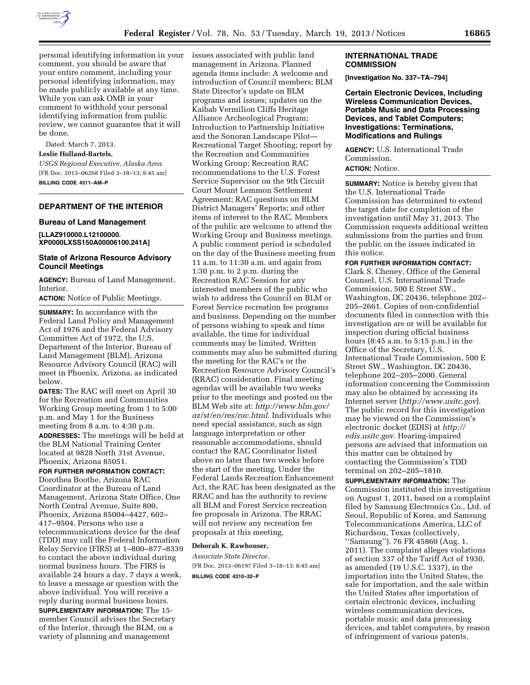

personal identifying information in your comment, you should be aware that your entire comment, including your personal identifying information, may be made publicly available at any time. While you can ask OMB in your comment to withhold your personal identifying information from public review, we cannot guarantee that it will be done.

Dated: March 7, 2013.

**Leslie Holland-Bartels,**  *USGS Regional Executive, Alaska Area.* 

[FR Doc. 2013–06268 Filed 3–18–13; 8:45 am] **BILLING CODE 4311–AM–P** 

## **DEPARTMENT OF THE INTERIOR**

#### **Bureau of Land Management**

**[LLAZ910000.L12100000. XP0000LXSS150A00006100.241A]** 

## **State of Arizona Resource Advisory Council Meetings**

**AGENCY:** Bureau of Land Management, Interior.

**ACTION:** Notice of Public Meetings.

**SUMMARY:** In accordance with the Federal Land Policy and Management Act of 1976 and the Federal Advisory Committee Act of 1972, the U.S. Department of the Interior, Bureau of Land Management (BLM), Arizona Resource Advisory Council (RAC) will meet in Phoenix, Arizona, as indicated below.

**DATES:** The RAC will meet on April 30 for the Recreation and Communities Working Group meeting from 1 to 5:00 p.m. and May 1 for the Business meeting from 8 a.m. to 4:30 p.m. **ADDRESSES:** The meetings will be held at the BLM National Training Center located at 9828 North 31st Avenue, Phoenix, Arizona 85051.

# **FOR FURTHER INFORMATION CONTACT:**

Dorothea Boothe, Arizona RAC Coordinator at the Bureau of Land Management, Arizona State Office, One North Central Avenue, Suite 800, Phoenix, Arizona 85004–4427, 602– 417–9504. Persons who use a telecommunications device for the deaf (TDD) may call the Federal Information Relay Service (FIRS) at 1–800–877–8339 to contact the above individual during normal business hours. The FIRS is available 24 hours a day, 7 days a week, to leave a message or question with the above individual. You will receive a reply during normal business hours. **SUPPLEMENTARY INFORMATION:** The 15 member Council advises the Secretary of the Interior, through the BLM, on a variety of planning and management

issues associated with public land management in Arizona. Planned agenda items include: A welcome and introduction of Council members; BLM State Director's update on BLM programs and issues; updates on the Kaibab Vermilion Cliffs Heritage Alliance Archeological Program; Introduction to Partnership Initiative and the Sonoran Landscape Pilot— Recreational Target Shooting; report by the Recreation and Communities Working Group; Recreation RAC recommendations to the U.S. Forest Service Supervisor on the 9th Circuit Court Mount Lemmon Settlement Agreement; RAC questions on BLM District Managers' Reports; and other items of interest to the RAC. Members of the public are welcome to attend the Working Group and Business meetings. A public comment period is scheduled on the day of the Business meeting from 11 a.m. to 11:30 a.m. and again from 1:30 p.m. to 2 p.m. during the Recreation RAC Session for any interested members of the public who wish to address the Council on BLM or Forest Service recreation fee programs and business. Depending on the number of persons wishing to speak and time available, the time for individual comments may be limited. Written comments may also be submitted during the meeting for the RAC's or the Recreation Resource Advisory Council's (RRAC) consideration. Final meeting agendas will be available two weeks prior to the meetings and posted on the BLM Web site at: *[http://www.blm.gov/](http://www.blm.gov/az/st/en/res/rac.html) [az/st/en/res/rac.html](http://www.blm.gov/az/st/en/res/rac.html)*. Individuals who need special assistance, such as sign language interpretation or other reasonable accommodations, should contact the RAC Coordinator listed above no later than two weeks before the start of the meeting. Under the Federal Lands Recreation Enhancement Act, the RAC has been designated as the RRAC and has the authority to review all BLM and Forest Service recreation fee proposals in Arizona. The RRAC will not review any recreation fee proposals at this meeting.

## **Deborah K. Rawhouser,**

*Associate State Director.*  [FR Doc. 2013–06197 Filed 3–18–13; 8:45 am] **BILLING CODE 4310–32–P** 

#### **INTERNATIONAL TRADE COMMISSION**

**[Investigation No. 337–TA–794]** 

**Certain Electronic Devices, Including Wireless Communication Devices, Portable Music and Data Processing Devices, and Tablet Computers; Investigations: Terminations, Modifications and Rulings** 

**AGENCY:** U.S. International Trade Commission.

# **ACTION:** Notice.

**SUMMARY:** Notice is hereby given that the U.S. International Trade Commission has determined to extend the target date for completion of the investigation until May 31, 2013. The Commission requests additional written submissions from the parties and from the public on the issues indicated in this notice.

## **FOR FURTHER INFORMATION CONTACT:**

Clark S. Cheney, Office of the General Counsel, U.S. International Trade Commission, 500 E Street SW., Washington, DC 20436, telephone 202– 205–2661. Copies of non-confidential documents filed in connection with this investigation are or will be available for inspection during official business hours (8:45 a.m. to 5:15 p.m.) in the Office of the Secretary, U.S. International Trade Commission, 500 E Street SW., Washington, DC 20436, telephone 202–205–2000. General information concerning the Commission may also be obtained by accessing its Internet server (*<http://www.usitc.gov>*). The public record for this investigation may be viewed on the Commission's electronic docket (EDIS) at *[http://](http://edis.usitc.gov)  [edis.usitc.gov.](http://edis.usitc.gov)* Hearing-impaired persons are advised that information on this matter can be obtained by contacting the Commission's TDD terminal on 202–205–1810.

**SUPPLEMENTARY INFORMATION:** The Commission instituted this investigation on August 1, 2011, based on a complaint filed by Samsung Electronics Co., Ltd. of Seoul, Republic of Korea, and Samsung Telecommunications America, LLC of Richardson, Texas (collectively, ''Samsung''). 76 FR 45860 (Aug. 1, 2011). The complaint alleges violations of section 337 of the Tariff Act of 1930, as amended (19 U.S.C. 1337), in the importation into the United States, the sale for importation, and the sale within the United States after importation of certain electronic devices, including wireless communication devices, portable music and data processing devices, and tablet computers, by reason of infringement of various patents,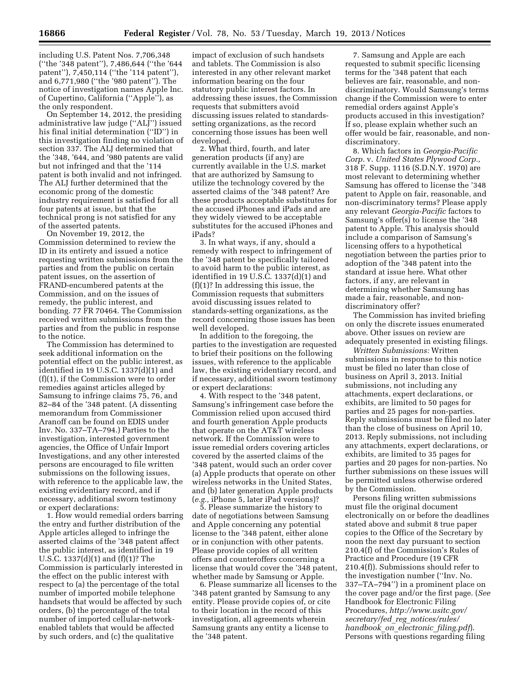including U.S. Patent Nos. 7,706,348 (''the '348 patent''), 7,486,644 (''the '644 patent''), 7,450,114 (''the '114 patent''), and 6,771,980 (''the '980 patent''). The notice of investigation names Apple Inc. of Cupertino, California (''Apple''), as the only respondent.

On September 14, 2012, the presiding administrative law judge (''ALJ'') issued his final initial determination (''ID'') in this investigation finding no violation of section 337. The ALJ determined that the '348, '644, and '980 patents are valid but not infringed and that the '114 patent is both invalid and not infringed. The ALJ further determined that the economic prong of the domestic industry requirement is satisfied for all four patents at issue, but that the technical prong is not satisfied for any of the asserted patents.

On November 19, 2012, the Commission determined to review the ID in its entirety and issued a notice requesting written submissions from the parties and from the public on certain patent issues, on the assertion of FRAND-encumbered patents at the Commission, and on the issues of remedy, the public interest, and bonding. 77 FR 70464. The Commission received written submissions from the parties and from the public in response to the notice.

The Commission has determined to seek additional information on the potential effect on the public interest, as identified in 19 U.S.C. 1337(d)(1) and (f)(1), if the Commission were to order remedies against articles alleged by Samsung to infringe claims 75, 76, and 82–84 of the '348 patent. (A dissenting memorandum from Commissioner Aranoff can be found on EDIS under Inv. No. 337–TA–794.) Parties to the investigation, interested government agencies, the Office of Unfair Import Investigations, and any other interested persons are encouraged to file written submissions on the following issues, with reference to the applicable law, the existing evidentiary record, and if necessary, additional sworn testimony or expert declarations:

1. How would remedial orders barring the entry and further distribution of the Apple articles alleged to infringe the asserted claims of the '348 patent affect the public interest, as identified in 19 U.S.C. 1337(d)(1) and (f)(1)? The Commission is particularly interested in the effect on the public interest with respect to (a) the percentage of the total number of imported mobile telephone handsets that would be affected by such orders, (b) the percentage of the total number of imported cellular-networkenabled tablets that would be affected by such orders, and (c) the qualitative

impact of exclusion of such handsets and tablets. The Commission is also interested in any other relevant market information bearing on the four statutory public interest factors. In addressing these issues, the Commission requests that submitters avoid discussing issues related to standardssetting organizations, as the record concerning those issues has been well developed.

2. What third, fourth, and later generation products (if any) are currently available in the U.S. market that are authorized by Samsung to utilize the technology covered by the asserted claims of the '348 patent? Are these products acceptable substitutes for the accused iPhones and iPads and are they widely viewed to be acceptable substitutes for the accused iPhones and iPads?

3. In what ways, if any, should a remedy with respect to infringement of the '348 patent be specifically tailored to avoid harm to the public interest, as identified in 19 U.S.C. 1337(d)(1) and  $(f)(1)$ ? In addressing this issue, the Commission requests that submitters avoid discussing issues related to standards-setting organizations, as the record concerning those issues has been well developed.

In addition to the foregoing, the parties to the investigation are requested to brief their positions on the following issues, with reference to the applicable law, the existing evidentiary record, and if necessary, additional sworn testimony or expert declarations:

4. With respect to the '348 patent, Samsung's infringement case before the Commission relied upon accused third and fourth generation Apple products that operate on the AT&T wireless network. If the Commission were to issue remedial orders covering articles covered by the asserted claims of the '348 patent, would such an order cover (a) Apple products that operate on other wireless networks in the United States, and (b) later generation Apple products (*e.g.,* iPhone 5, later iPad versions)?

5. Please summarize the history to date of negotiations between Samsung and Apple concerning any potential license to the '348 patent, either alone or in conjunction with other patents. Please provide copies of all written offers and counteroffers concerning a license that would cover the '348 patent, whether made by Samsung or Apple.

6. Please summarize all licenses to the '348 patent granted by Samsung to any entity. Please provide copies of, or cite to their location in the record of this investigation, all agreements wherein Samsung grants any entity a license to the '348 patent.

7. Samsung and Apple are each requested to submit specific licensing terms for the '348 patent that each believes are fair, reasonable, and nondiscriminatory. Would Samsung's terms change if the Commission were to enter remedial orders against Apple's products accused in this investigation? If so, please explain whether such an offer would be fair, reasonable, and nondiscriminatory.

8. Which factors in *Georgia-Pacific Corp.* v. *United States Plywood Corp.,*  318 F. Supp. 1116 (S.D.N.Y. 1970) are most relevant to determining whether Samsung has offered to license the '348 patent to Apple on fair, reasonable, and non-discriminatory terms? Please apply any relevant *Georgia-Pacific* factors to Samsung's offer(s) to license the '348 patent to Apple. This analysis should include a comparison of Samsung's licensing offers to a hypothetical negotiation between the parties prior to adoption of the '348 patent into the standard at issue here. What other factors, if any, are relevant in determining whether Samsung has made a fair, reasonable, and nondiscriminatory offer?

The Commission has invited briefing on only the discrete issues enumerated above. Other issues on review are adequately presented in existing filings.

*Written Submissions:* Written submissions in response to this notice must be filed no later than close of business on April 3, 2013. Initial submissions, not including any attachments, expert declarations, or exhibits, are limited to 50 pages for parties and 25 pages for non-parties. Reply submissions must be filed no later than the close of business on April 10, 2013. Reply submissions, not including any attachments, expert declarations, or exhibits, are limited to 35 pages for parties and 20 pages for non-parties. No further submissions on these issues will be permitted unless otherwise ordered by the Commission.

Persons filing written submissions must file the original document electronically on or before the deadlines stated above and submit 8 true paper copies to the Office of the Secretary by noon the next day pursuant to section 210.4(f) of the Commission's Rules of Practice and Procedure (19 CFR 210.4(f)). Submissions should refer to the investigation number (''Inv. No. 337–TA–794'') in a prominent place on the cover page and/or the first page. (*See*  Handbook for Electronic Filing Procedures, *[http://www.usitc.gov/](http://www.usitc.gov/secretary/fed_reg_notices/rules/handbook_on_electronic_filing.pdf) secretary/fed*\_*reg*\_*[notices/rules/](http://www.usitc.gov/secretary/fed_reg_notices/rules/handbook_on_electronic_filing.pdf)  [handbook](http://www.usitc.gov/secretary/fed_reg_notices/rules/handbook_on_electronic_filing.pdf)*\_*on*\_*electronic*\_*filing.pdf*). Persons with questions regarding filing